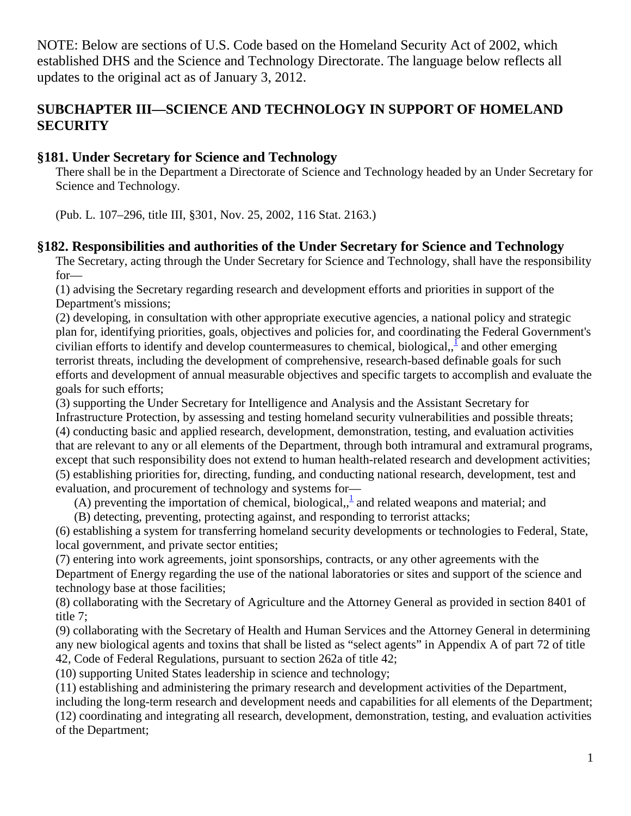NOTE: Below are sections of U.S. Code based on the Homeland Security Act of 2002, which established DHS and the Science and Technology Directorate. The language below reflects all updates to the original act as of January 3, 2012.

# **SUBCHAPTER III—SCIENCE AND TECHNOLOGY IN SUPPORT OF HOMELAND SECURITY**

# **§181. Under Secretary for Science and Technology**

There shall be in the Department a Directorate of Science and Technology headed by an Under Secretary for Science and Technology.

(Pub. L. 107–296, title III, §301, Nov. 25, 2002, 116 Stat. 2163.)

# **§182. Responsibilities and authorities of the Under Secretary for Science and Technology**

The Secretary, acting through the Under Secretary for Science and Technology, shall have the responsibility for—

(1) advising the Secretary regarding research and development efforts and priorities in support of the Department's missions;

(2) developing, in consultation with other appropriate executive agencies, a national policy and strategic plan for, identifying priorities, goals, objectives and policies for, and coordinating the Federal Government's civilian efforts to identify and develop countermeasures to chemical, biological,  $\frac{1}{2}$  and other emerging terrorist threats, including the development of comprehensive, research-based definable goals for such efforts and development of annual measurable objectives and specific targets to accomplish and evaluate the goals for such efforts;

(3) supporting the Under Secretary for Intelligence and Analysis and the Assistant Secretary for Infrastructure Protection, by assessing and testing homeland security vulnerabilities and possible threats; (4) conducting basic and applied research, development, demonstration, testing, and evaluation activities that are relevant to any or all elements of the Department, through both intramural and extramural programs, except that such responsibility does not extend to human health-related research and development activities; (5) establishing priorities for, directing, funding, and conducting national research, development, test and evaluation, and procurement of technology and systems for—

(A) preventing the importation of chemical, biological,  $\frac{1}{2}$  and related weapons and material; and

(B) detecting, preventing, protecting against, and responding to terrorist attacks;

(6) establishing a system for transferring homeland security developments or technologies to Federal, State, local government, and private sector entities;

(7) entering into work agreements, joint sponsorships, contracts, or any other agreements with the

Department of Energy regarding the use of the national laboratories or sites and support of the science and technology base at those facilities;

(8) collaborating with the Secretary of Agriculture and the Attorney General as provided in section 8401 of title 7;

(9) collaborating with the Secretary of Health and Human Services and the Attorney General in determining any new biological agents and toxins that shall be listed as "select agents" in Appendix A of part 72 of title 42, Code of Federal Regulations, pursuant to section 262a of title 42;

(10) supporting United States leadership in science and technology;

(11) establishing and administering the primary research and development activities of the Department,

including the long-term research and development needs and capabilities for all elements of the Department; (12) coordinating and integrating all research, development, demonstration, testing, and evaluation activities of the Department;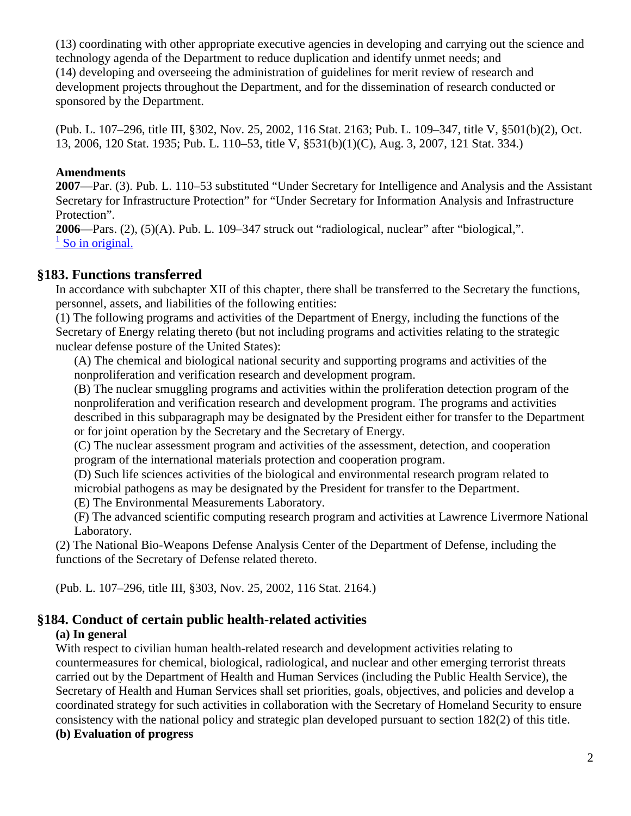(13) coordinating with other appropriate executive agencies in developing and carrying out the science and technology agenda of the Department to reduce duplication and identify unmet needs; and (14) developing and overseeing the administration of guidelines for merit review of research and development projects throughout the Department, and for the dissemination of research conducted or sponsored by the Department.

(Pub. L. 107–296, title III, §302, Nov. 25, 2002, 116 Stat. 2163; Pub. L. 109–347, title V, §501(b)(2), Oct. 13, 2006, 120 Stat. 1935; Pub. L. 110–53, title V, §531(b)(1)(C), Aug. 3, 2007, 121 Stat. 334.)

### **Amendments**

**2007**—Par. (3). Pub. L. 110–53 substituted "Under Secretary for Intelligence and Analysis and the Assistant Secretary for Infrastructure Protection" for "Under Secretary for Information Analysis and Infrastructure Protection".

**2006**—Pars. (2), (5)(A). Pub. L. 109–347 struck out "radiological, nuclear" after "biological,".  $\frac{1}{1}$  [So in original.](http://143.231.180.80/view.xhtml?path=/title6/chapter1/subchapter3#182_1)

# **§183. Functions transferred**

In accordance with subchapter XII of this chapter, there shall be transferred to the Secretary the functions, personnel, assets, and liabilities of the following entities:

(1) The following programs and activities of the Department of Energy, including the functions of the Secretary of Energy relating thereto (but not including programs and activities relating to the strategic nuclear defense posture of the United States):

(A) The chemical and biological national security and supporting programs and activities of the nonproliferation and verification research and development program.

(B) The nuclear smuggling programs and activities within the proliferation detection program of the nonproliferation and verification research and development program. The programs and activities described in this subparagraph may be designated by the President either for transfer to the Department or for joint operation by the Secretary and the Secretary of Energy.

(C) The nuclear assessment program and activities of the assessment, detection, and cooperation program of the international materials protection and cooperation program.

(D) Such life sciences activities of the biological and environmental research program related to microbial pathogens as may be designated by the President for transfer to the Department.

(E) The Environmental Measurements Laboratory.

(F) The advanced scientific computing research program and activities at Lawrence Livermore National Laboratory.

(2) The National Bio-Weapons Defense Analysis Center of the Department of Defense, including the functions of the Secretary of Defense related thereto.

(Pub. L. 107–296, title III, §303, Nov. 25, 2002, 116 Stat. 2164.)

# **§184. Conduct of certain public health-related activities**

# **(a) In general**

With respect to civilian human health-related research and development activities relating to countermeasures for chemical, biological, radiological, and nuclear and other emerging terrorist threats carried out by the Department of Health and Human Services (including the Public Health Service), the Secretary of Health and Human Services shall set priorities, goals, objectives, and policies and develop a coordinated strategy for such activities in collaboration with the Secretary of Homeland Security to ensure consistency with the national policy and strategic plan developed pursuant to section 182(2) of this title.

# **(b) Evaluation of progress**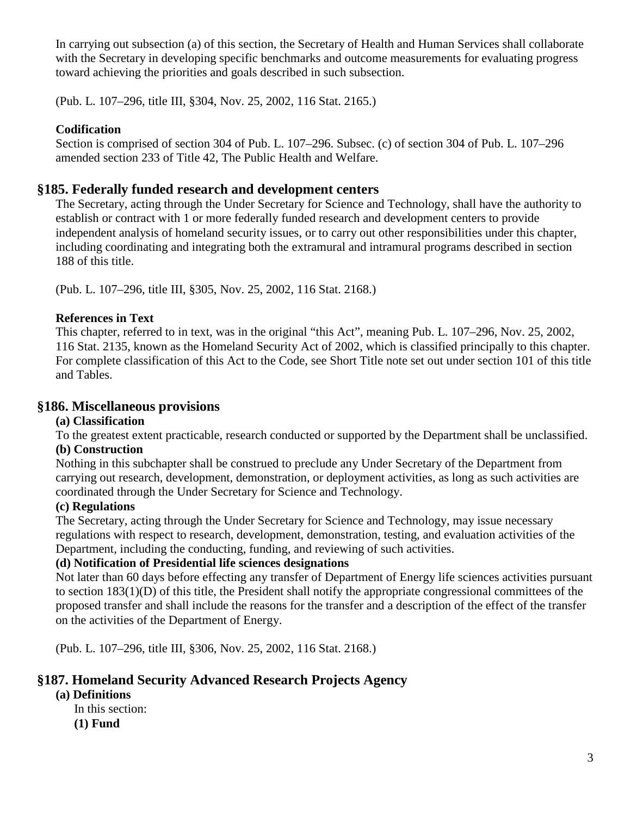In carrying out subsection (a) of this section, the Secretary of Health and Human Services shall collaborate with the Secretary in developing specific benchmarks and outcome measurements for evaluating progress toward achieving the priorities and goals described in such subsection.

(Pub. L. 107–296, title III, §304, Nov. 25, 2002, 116 Stat. 2165.)

# **Codification**

Section is comprised of section 304 of Pub. L. 107–296. Subsec. (c) of section 304 of Pub. L. 107–296 amended section 233 of Title 42, The Public Health and Welfare.

# **§185. Federally funded research and development centers**

The Secretary, acting through the Under Secretary for Science and Technology, shall have the authority to establish or contract with 1 or more federally funded research and development centers to provide independent analysis of homeland security issues, or to carry out other responsibilities under this chapter, including coordinating and integrating both the extramural and intramural programs described in section 188 of this title.

(Pub. L. 107–296, title III, §305, Nov. 25, 2002, 116 Stat. 2168.)

## **References in Text**

This chapter, referred to in text, was in the original "this Act", meaning Pub. L. 107–296, Nov. 25, 2002, 116 Stat. 2135, known as the Homeland Security Act of 2002, which is classified principally to this chapter. For complete classification of this Act to the Code, see Short Title note set out under section 101 of this title and Tables.

# **§186. Miscellaneous provisions**

### **(a) Classification**

To the greatest extent practicable, research conducted or supported by the Department shall be unclassified.

### **(b) Construction**

Nothing in this subchapter shall be construed to preclude any Under Secretary of the Department from carrying out research, development, demonstration, or deployment activities, as long as such activities are coordinated through the Under Secretary for Science and Technology.

### **(c) Regulations**

The Secretary, acting through the Under Secretary for Science and Technology, may issue necessary regulations with respect to research, development, demonstration, testing, and evaluation activities of the Department, including the conducting, funding, and reviewing of such activities.

# **(d) Notification of Presidential life sciences designations**

Not later than 60 days before effecting any transfer of Department of Energy life sciences activities pursuant to section 183(1)(D) of this title, the President shall notify the appropriate congressional committees of the proposed transfer and shall include the reasons for the transfer and a description of the effect of the transfer on the activities of the Department of Energy.

(Pub. L. 107–296, title III, §306, Nov. 25, 2002, 116 Stat. 2168.)

# **§187. Homeland Security Advanced Research Projects Agency**

### **(a) Definitions**

- In this section:
	- **(1) Fund**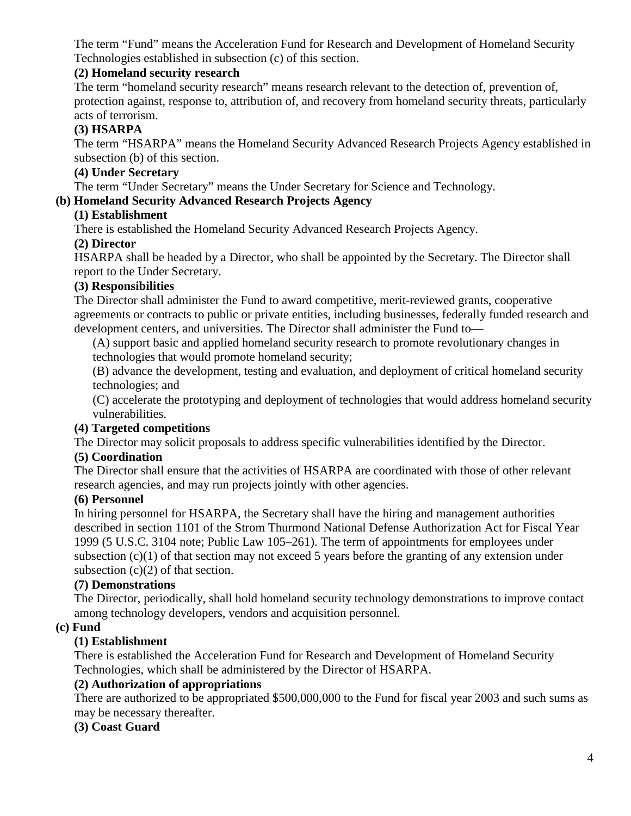The term "Fund" means the Acceleration Fund for Research and Development of Homeland Security Technologies established in subsection (c) of this section.

### **(2) Homeland security research**

The term "homeland security research" means research relevant to the detection of, prevention of, protection against, response to, attribution of, and recovery from homeland security threats, particularly acts of terrorism.

## **(3) HSARPA**

The term "HSARPA" means the Homeland Security Advanced Research Projects Agency established in subsection (b) of this section.

## **(4) Under Secretary**

The term "Under Secretary" means the Under Secretary for Science and Technology.

# **(b) Homeland Security Advanced Research Projects Agency**

### **(1) Establishment**

There is established the Homeland Security Advanced Research Projects Agency.

## **(2) Director**

HSARPA shall be headed by a Director, who shall be appointed by the Secretary. The Director shall report to the Under Secretary.

## **(3) Responsibilities**

The Director shall administer the Fund to award competitive, merit-reviewed grants, cooperative agreements or contracts to public or private entities, including businesses, federally funded research and development centers, and universities. The Director shall administer the Fund to—

(A) support basic and applied homeland security research to promote revolutionary changes in technologies that would promote homeland security;

(B) advance the development, testing and evaluation, and deployment of critical homeland security technologies; and

(C) accelerate the prototyping and deployment of technologies that would address homeland security vulnerabilities.

### **(4) Targeted competitions**

The Director may solicit proposals to address specific vulnerabilities identified by the Director.

# **(5) Coordination**

The Director shall ensure that the activities of HSARPA are coordinated with those of other relevant research agencies, and may run projects jointly with other agencies.

### **(6) Personnel**

In hiring personnel for HSARPA, the Secretary shall have the hiring and management authorities described in section 1101 of the Strom Thurmond National Defense Authorization Act for Fiscal Year 1999 (5 U.S.C. 3104 note; Public Law 105–261). The term of appointments for employees under subsection  $(c)(1)$  of that section may not exceed 5 years before the granting of any extension under subsection  $(c)(2)$  of that section.

### **(7) Demonstrations**

The Director, periodically, shall hold homeland security technology demonstrations to improve contact among technology developers, vendors and acquisition personnel.

### **(c) Fund**

# **(1) Establishment**

There is established the Acceleration Fund for Research and Development of Homeland Security Technologies, which shall be administered by the Director of HSARPA.

# **(2) Authorization of appropriations**

There are authorized to be appropriated \$500,000,000 to the Fund for fiscal year 2003 and such sums as may be necessary thereafter.

### **(3) Coast Guard**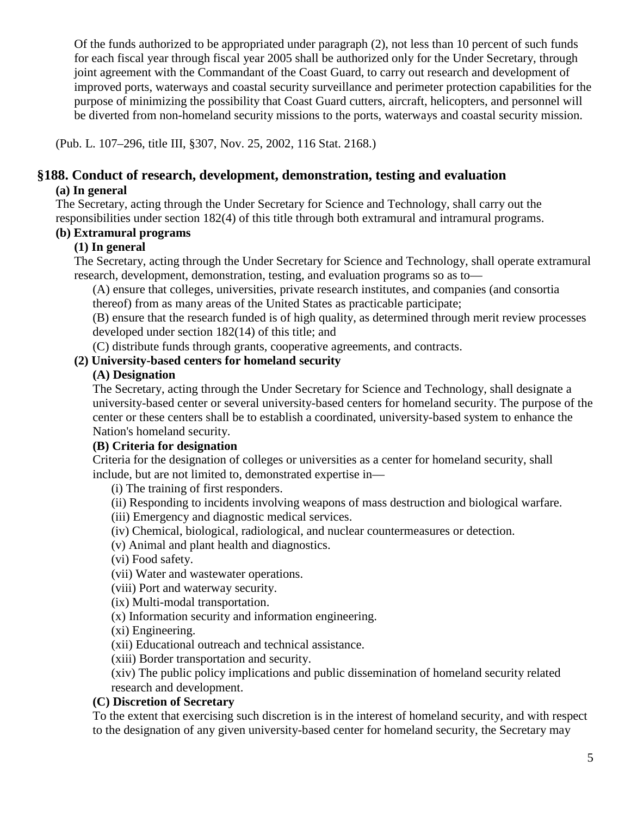Of the funds authorized to be appropriated under paragraph (2), not less than 10 percent of such funds for each fiscal year through fiscal year 2005 shall be authorized only for the Under Secretary, through joint agreement with the Commandant of the Coast Guard, to carry out research and development of improved ports, waterways and coastal security surveillance and perimeter protection capabilities for the purpose of minimizing the possibility that Coast Guard cutters, aircraft, helicopters, and personnel will be diverted from non-homeland security missions to the ports, waterways and coastal security mission.

(Pub. L. 107–296, title III, §307, Nov. 25, 2002, 116 Stat. 2168.)

# **§188. Conduct of research, development, demonstration, testing and evaluation**

## **(a) In general**

The Secretary, acting through the Under Secretary for Science and Technology, shall carry out the responsibilities under section 182(4) of this title through both extramural and intramural programs.

### **(b) Extramural programs**

## **(1) In general**

The Secretary, acting through the Under Secretary for Science and Technology, shall operate extramural research, development, demonstration, testing, and evaluation programs so as to—

(A) ensure that colleges, universities, private research institutes, and companies (and consortia thereof) from as many areas of the United States as practicable participate;

(B) ensure that the research funded is of high quality, as determined through merit review processes developed under section 182(14) of this title; and

(C) distribute funds through grants, cooperative agreements, and contracts.

## **(2) University-based centers for homeland security**

# **(A) Designation**

The Secretary, acting through the Under Secretary for Science and Technology, shall designate a university-based center or several university-based centers for homeland security. The purpose of the center or these centers shall be to establish a coordinated, university-based system to enhance the Nation's homeland security.

### **(B) Criteria for designation**

Criteria for the designation of colleges or universities as a center for homeland security, shall include, but are not limited to, demonstrated expertise in—

(i) The training of first responders.

(ii) Responding to incidents involving weapons of mass destruction and biological warfare.

(iii) Emergency and diagnostic medical services.

(iv) Chemical, biological, radiological, and nuclear countermeasures or detection.

(v) Animal and plant health and diagnostics.

(vi) Food safety.

(vii) Water and wastewater operations.

(viii) Port and waterway security.

(ix) Multi-modal transportation.

(x) Information security and information engineering.

(xi) Engineering.

(xii) Educational outreach and technical assistance.

(xiii) Border transportation and security.

(xiv) The public policy implications and public dissemination of homeland security related research and development.

# **(C) Discretion of Secretary**

To the extent that exercising such discretion is in the interest of homeland security, and with respect to the designation of any given university-based center for homeland security, the Secretary may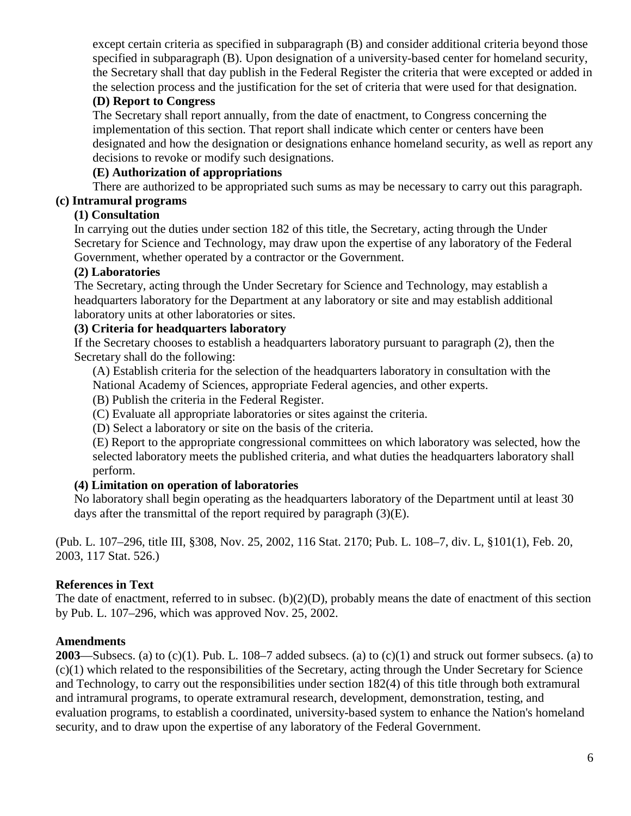except certain criteria as specified in subparagraph (B) and consider additional criteria beyond those specified in subparagraph (B). Upon designation of a university-based center for homeland security, the Secretary shall that day publish in the Federal Register the criteria that were excepted or added in the selection process and the justification for the set of criteria that were used for that designation.

# **(D) Report to Congress**

The Secretary shall report annually, from the date of enactment, to Congress concerning the implementation of this section. That report shall indicate which center or centers have been designated and how the designation or designations enhance homeland security, as well as report any decisions to revoke or modify such designations.

## **(E) Authorization of appropriations**

There are authorized to be appropriated such sums as may be necessary to carry out this paragraph.

# **(c) Intramural programs**

# **(1) Consultation**

In carrying out the duties under section 182 of this title, the Secretary, acting through the Under Secretary for Science and Technology, may draw upon the expertise of any laboratory of the Federal Government, whether operated by a contractor or the Government.

## **(2) Laboratories**

The Secretary, acting through the Under Secretary for Science and Technology, may establish a headquarters laboratory for the Department at any laboratory or site and may establish additional laboratory units at other laboratories or sites.

## **(3) Criteria for headquarters laboratory**

If the Secretary chooses to establish a headquarters laboratory pursuant to paragraph (2), then the Secretary shall do the following:

(A) Establish criteria for the selection of the headquarters laboratory in consultation with the National Academy of Sciences, appropriate Federal agencies, and other experts.

(B) Publish the criteria in the Federal Register.

(C) Evaluate all appropriate laboratories or sites against the criteria.

(D) Select a laboratory or site on the basis of the criteria.

(E) Report to the appropriate congressional committees on which laboratory was selected, how the selected laboratory meets the published criteria, and what duties the headquarters laboratory shall perform.

# **(4) Limitation on operation of laboratories**

No laboratory shall begin operating as the headquarters laboratory of the Department until at least 30 days after the transmittal of the report required by paragraph (3)(E).

(Pub. L. 107–296, title III, §308, Nov. 25, 2002, 116 Stat. 2170; Pub. L. 108–7, div. L, §101(1), Feb. 20, 2003, 117 Stat. 526.)

# **References in Text**

The date of enactment, referred to in subsec. (b)(2)(D), probably means the date of enactment of this section by Pub. L. 107–296, which was approved Nov. 25, 2002.

### **Amendments**

**2003**—Subsecs. (a) to  $(c)(1)$ . Pub. L. 108–7 added subsecs. (a) to  $(c)(1)$  and struck out former subsecs. (a) to (c)(1) which related to the responsibilities of the Secretary, acting through the Under Secretary for Science and Technology, to carry out the responsibilities under section 182(4) of this title through both extramural and intramural programs, to operate extramural research, development, demonstration, testing, and evaluation programs, to establish a coordinated, university-based system to enhance the Nation's homeland security, and to draw upon the expertise of any laboratory of the Federal Government.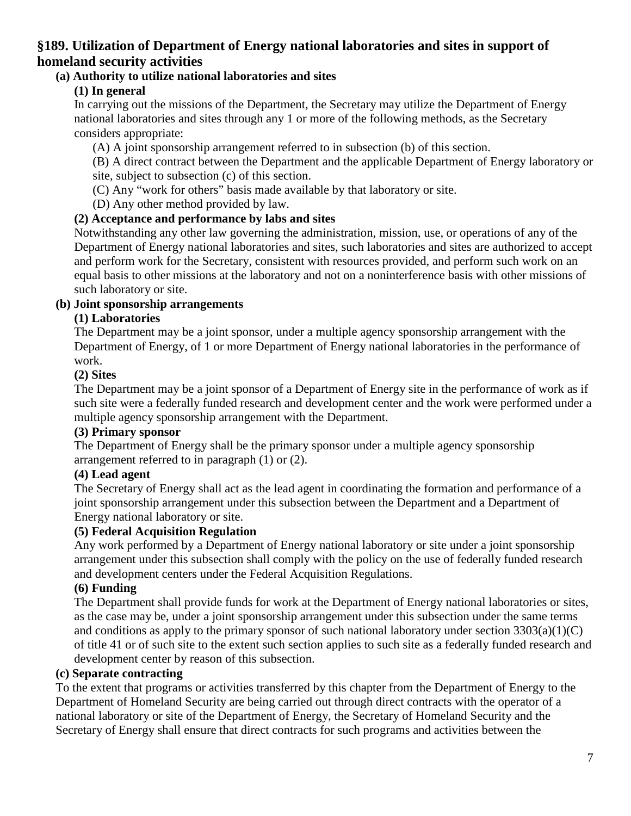# **§189. Utilization of Department of Energy national laboratories and sites in support of homeland security activities**

## **(a) Authority to utilize national laboratories and sites**

## **(1) In general**

In carrying out the missions of the Department, the Secretary may utilize the Department of Energy national laboratories and sites through any 1 or more of the following methods, as the Secretary considers appropriate:

(A) A joint sponsorship arrangement referred to in subsection (b) of this section.

(B) A direct contract between the Department and the applicable Department of Energy laboratory or site, subject to subsection (c) of this section.

(C) Any "work for others" basis made available by that laboratory or site.

(D) Any other method provided by law.

## **(2) Acceptance and performance by labs and sites**

Notwithstanding any other law governing the administration, mission, use, or operations of any of the Department of Energy national laboratories and sites, such laboratories and sites are authorized to accept and perform work for the Secretary, consistent with resources provided, and perform such work on an equal basis to other missions at the laboratory and not on a noninterference basis with other missions of such laboratory or site.

#### **(b) Joint sponsorship arrangements**

### **(1) Laboratories**

The Department may be a joint sponsor, under a multiple agency sponsorship arrangement with the Department of Energy, of 1 or more Department of Energy national laboratories in the performance of work.

#### **(2) Sites**

The Department may be a joint sponsor of a Department of Energy site in the performance of work as if such site were a federally funded research and development center and the work were performed under a multiple agency sponsorship arrangement with the Department.

### **(3) Primary sponsor**

The Department of Energy shall be the primary sponsor under a multiple agency sponsorship arrangement referred to in paragraph (1) or (2).

### **(4) Lead agent**

The Secretary of Energy shall act as the lead agent in coordinating the formation and performance of a joint sponsorship arrangement under this subsection between the Department and a Department of Energy national laboratory or site.

### **(5) Federal Acquisition Regulation**

Any work performed by a Department of Energy national laboratory or site under a joint sponsorship arrangement under this subsection shall comply with the policy on the use of federally funded research and development centers under the Federal Acquisition Regulations.

### **(6) Funding**

The Department shall provide funds for work at the Department of Energy national laboratories or sites, as the case may be, under a joint sponsorship arrangement under this subsection under the same terms and conditions as apply to the primary sponsor of such national laboratory under section  $3303(a)(1)(C)$ of title 41 or of such site to the extent such section applies to such site as a federally funded research and development center by reason of this subsection.

### **(c) Separate contracting**

To the extent that programs or activities transferred by this chapter from the Department of Energy to the Department of Homeland Security are being carried out through direct contracts with the operator of a national laboratory or site of the Department of Energy, the Secretary of Homeland Security and the Secretary of Energy shall ensure that direct contracts for such programs and activities between the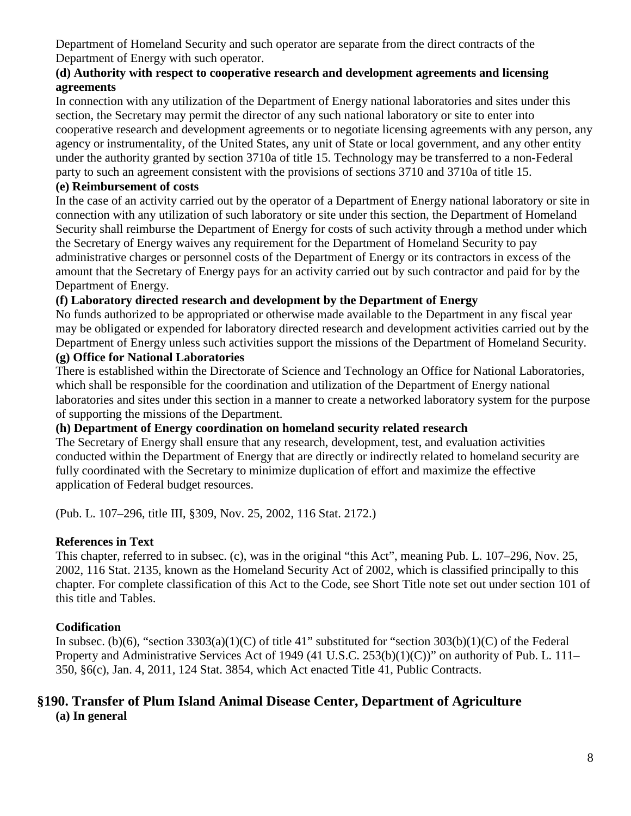Department of Homeland Security and such operator are separate from the direct contracts of the Department of Energy with such operator.

## **(d) Authority with respect to cooperative research and development agreements and licensing agreements**

In connection with any utilization of the Department of Energy national laboratories and sites under this section, the Secretary may permit the director of any such national laboratory or site to enter into cooperative research and development agreements or to negotiate licensing agreements with any person, any agency or instrumentality, of the United States, any unit of State or local government, and any other entity under the authority granted by section 3710a of title 15. Technology may be transferred to a non-Federal party to such an agreement consistent with the provisions of sections 3710 and 3710a of title 15.

## **(e) Reimbursement of costs**

In the case of an activity carried out by the operator of a Department of Energy national laboratory or site in connection with any utilization of such laboratory or site under this section, the Department of Homeland Security shall reimburse the Department of Energy for costs of such activity through a method under which the Secretary of Energy waives any requirement for the Department of Homeland Security to pay administrative charges or personnel costs of the Department of Energy or its contractors in excess of the amount that the Secretary of Energy pays for an activity carried out by such contractor and paid for by the Department of Energy.

# **(f) Laboratory directed research and development by the Department of Energy**

No funds authorized to be appropriated or otherwise made available to the Department in any fiscal year may be obligated or expended for laboratory directed research and development activities carried out by the Department of Energy unless such activities support the missions of the Department of Homeland Security.

## **(g) Office for National Laboratories**

There is established within the Directorate of Science and Technology an Office for National Laboratories, which shall be responsible for the coordination and utilization of the Department of Energy national laboratories and sites under this section in a manner to create a networked laboratory system for the purpose of supporting the missions of the Department.

# **(h) Department of Energy coordination on homeland security related research**

The Secretary of Energy shall ensure that any research, development, test, and evaluation activities conducted within the Department of Energy that are directly or indirectly related to homeland security are fully coordinated with the Secretary to minimize duplication of effort and maximize the effective application of Federal budget resources.

(Pub. L. 107–296, title III, §309, Nov. 25, 2002, 116 Stat. 2172.)

# **References in Text**

This chapter, referred to in subsec. (c), was in the original "this Act", meaning Pub. L. 107–296, Nov. 25, 2002, 116 Stat. 2135, known as the Homeland Security Act of 2002, which is classified principally to this chapter. For complete classification of this Act to the Code, see Short Title note set out under section 101 of this title and Tables.

# **Codification**

In subsec. (b)(6), "section  $3303(a)(1)(C)$  of title 41" substituted for "section  $303(b)(1)(C)$  of the Federal Property and Administrative Services Act of 1949 (41 U.S.C. 253(b)(1)(C))" on authority of Pub. L. 111– 350, §6(c), Jan. 4, 2011, 124 Stat. 3854, which Act enacted Title 41, Public Contracts.

### **§190. Transfer of Plum Island Animal Disease Center, Department of Agriculture (a) In general**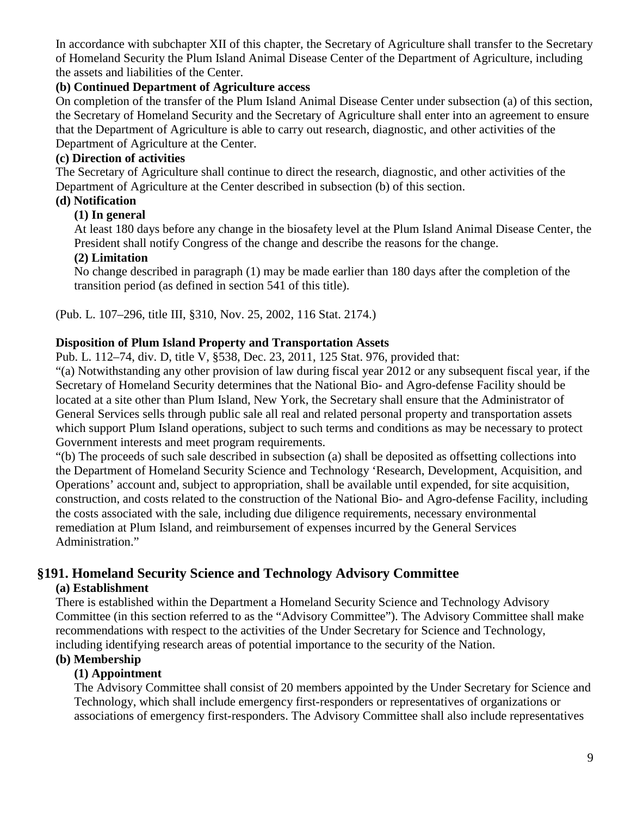In accordance with subchapter XII of this chapter, the Secretary of Agriculture shall transfer to the Secretary of Homeland Security the Plum Island Animal Disease Center of the Department of Agriculture, including the assets and liabilities of the Center.

## **(b) Continued Department of Agriculture access**

On completion of the transfer of the Plum Island Animal Disease Center under subsection (a) of this section, the Secretary of Homeland Security and the Secretary of Agriculture shall enter into an agreement to ensure that the Department of Agriculture is able to carry out research, diagnostic, and other activities of the Department of Agriculture at the Center.

## **(c) Direction of activities**

The Secretary of Agriculture shall continue to direct the research, diagnostic, and other activities of the Department of Agriculture at the Center described in subsection (b) of this section.

# **(d) Notification**

### **(1) In general**

At least 180 days before any change in the biosafety level at the Plum Island Animal Disease Center, the President shall notify Congress of the change and describe the reasons for the change.

## **(2) Limitation**

No change described in paragraph (1) may be made earlier than 180 days after the completion of the transition period (as defined in section 541 of this title).

(Pub. L. 107–296, title III, §310, Nov. 25, 2002, 116 Stat. 2174.)

## **Disposition of Plum Island Property and Transportation Assets**

Pub. L. 112–74, div. D, title V, §538, Dec. 23, 2011, 125 Stat. 976, provided that:

"(a) Notwithstanding any other provision of law during fiscal year 2012 or any subsequent fiscal year, if the Secretary of Homeland Security determines that the National Bio- and Agro-defense Facility should be located at a site other than Plum Island, New York, the Secretary shall ensure that the Administrator of General Services sells through public sale all real and related personal property and transportation assets which support Plum Island operations, subject to such terms and conditions as may be necessary to protect Government interests and meet program requirements.

"(b) The proceeds of such sale described in subsection (a) shall be deposited as offsetting collections into the Department of Homeland Security Science and Technology 'Research, Development, Acquisition, and Operations' account and, subject to appropriation, shall be available until expended, for site acquisition, construction, and costs related to the construction of the National Bio- and Agro-defense Facility, including the costs associated with the sale, including due diligence requirements, necessary environmental remediation at Plum Island, and reimbursement of expenses incurred by the General Services Administration."

# **§191. Homeland Security Science and Technology Advisory Committee**

# **(a) Establishment**

There is established within the Department a Homeland Security Science and Technology Advisory Committee (in this section referred to as the "Advisory Committee"). The Advisory Committee shall make recommendations with respect to the activities of the Under Secretary for Science and Technology, including identifying research areas of potential importance to the security of the Nation.

# **(b) Membership**

# **(1) Appointment**

The Advisory Committee shall consist of 20 members appointed by the Under Secretary for Science and Technology, which shall include emergency first-responders or representatives of organizations or associations of emergency first-responders. The Advisory Committee shall also include representatives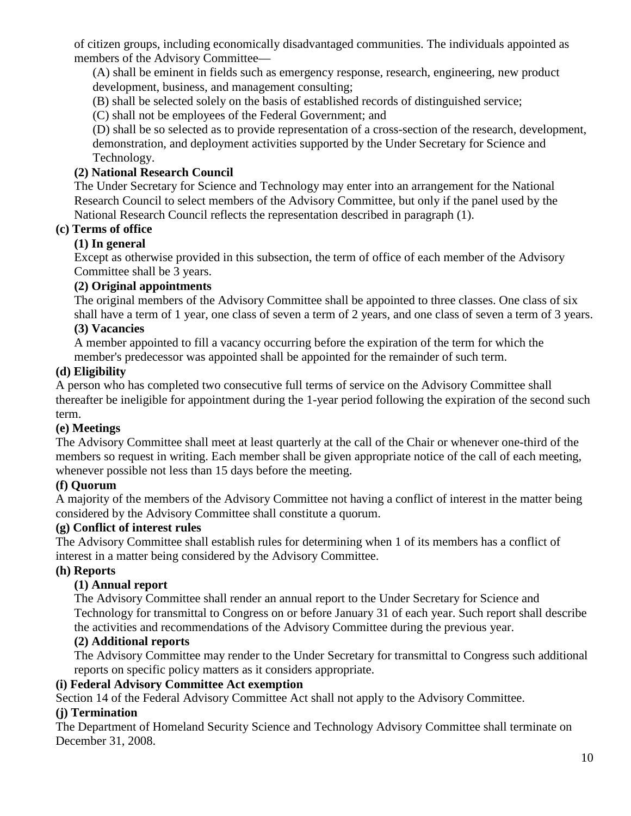of citizen groups, including economically disadvantaged communities. The individuals appointed as members of the Advisory Committee—

(A) shall be eminent in fields such as emergency response, research, engineering, new product development, business, and management consulting;

(B) shall be selected solely on the basis of established records of distinguished service;

(C) shall not be employees of the Federal Government; and

(D) shall be so selected as to provide representation of a cross-section of the research, development, demonstration, and deployment activities supported by the Under Secretary for Science and Technology.

# **(2) National Research Council**

The Under Secretary for Science and Technology may enter into an arrangement for the National Research Council to select members of the Advisory Committee, but only if the panel used by the National Research Council reflects the representation described in paragraph (1).

# **(c) Terms of office**

# **(1) In general**

Except as otherwise provided in this subsection, the term of office of each member of the Advisory Committee shall be 3 years.

# **(2) Original appointments**

The original members of the Advisory Committee shall be appointed to three classes. One class of six shall have a term of 1 year, one class of seven a term of 2 years, and one class of seven a term of 3 years.

# **(3) Vacancies**

A member appointed to fill a vacancy occurring before the expiration of the term for which the member's predecessor was appointed shall be appointed for the remainder of such term.

## **(d) Eligibility**

A person who has completed two consecutive full terms of service on the Advisory Committee shall thereafter be ineligible for appointment during the 1-year period following the expiration of the second such term.

# **(e) Meetings**

The Advisory Committee shall meet at least quarterly at the call of the Chair or whenever one-third of the members so request in writing. Each member shall be given appropriate notice of the call of each meeting, whenever possible not less than 15 days before the meeting.

# **(f) Quorum**

A majority of the members of the Advisory Committee not having a conflict of interest in the matter being considered by the Advisory Committee shall constitute a quorum.

### **(g) Conflict of interest rules**

The Advisory Committee shall establish rules for determining when 1 of its members has a conflict of interest in a matter being considered by the Advisory Committee.

### **(h) Reports**

# **(1) Annual report**

The Advisory Committee shall render an annual report to the Under Secretary for Science and Technology for transmittal to Congress on or before January 31 of each year. Such report shall describe the activities and recommendations of the Advisory Committee during the previous year.

### **(2) Additional reports**

The Advisory Committee may render to the Under Secretary for transmittal to Congress such additional reports on specific policy matters as it considers appropriate.

### **(i) Federal Advisory Committee Act exemption**

Section 14 of the Federal Advisory Committee Act shall not apply to the Advisory Committee.

### **(j) Termination**

The Department of Homeland Security Science and Technology Advisory Committee shall terminate on December 31, 2008.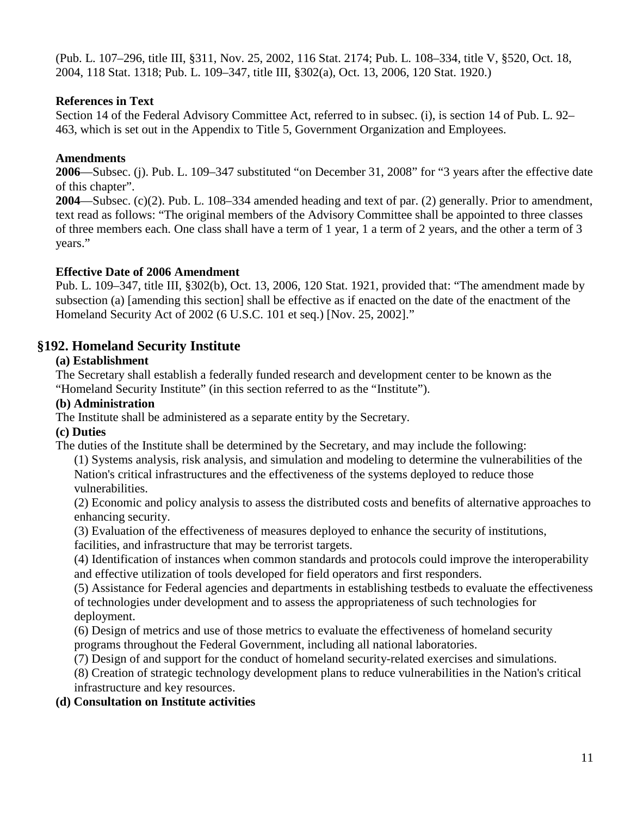(Pub. L. 107–296, title III, §311, Nov. 25, 2002, 116 Stat. 2174; Pub. L. 108–334, title V, §520, Oct. 18, 2004, 118 Stat. 1318; Pub. L. 109–347, title III, §302(a), Oct. 13, 2006, 120 Stat. 1920.)

## **References in Text**

Section 14 of the Federal Advisory Committee Act, referred to in subsec. (i), is section 14 of Pub. L. 92– 463, which is set out in the Appendix to Title 5, Government Organization and Employees.

### **Amendments**

**2006**—Subsec. (j). Pub. L. 109–347 substituted "on December 31, 2008" for "3 years after the effective date of this chapter".

**2004**—Subsec. (c)(2). Pub. L. 108–334 amended heading and text of par. (2) generally. Prior to amendment, text read as follows: "The original members of the Advisory Committee shall be appointed to three classes of three members each. One class shall have a term of 1 year, 1 a term of 2 years, and the other a term of 3 years."

## **Effective Date of 2006 Amendment**

Pub. L. 109–347, title III, §302(b), Oct. 13, 2006, 120 Stat. 1921, provided that: "The amendment made by subsection (a) [amending this section] shall be effective as if enacted on the date of the enactment of the Homeland Security Act of 2002 (6 U.S.C. 101 et seq.) [Nov. 25, 2002]."

# **§192. Homeland Security Institute**

## **(a) Establishment**

The Secretary shall establish a federally funded research and development center to be known as the "Homeland Security Institute" (in this section referred to as the "Institute").

### **(b) Administration**

The Institute shall be administered as a separate entity by the Secretary.

# **(c) Duties**

The duties of the Institute shall be determined by the Secretary, and may include the following:

(1) Systems analysis, risk analysis, and simulation and modeling to determine the vulnerabilities of the Nation's critical infrastructures and the effectiveness of the systems deployed to reduce those vulnerabilities.

(2) Economic and policy analysis to assess the distributed costs and benefits of alternative approaches to enhancing security.

(3) Evaluation of the effectiveness of measures deployed to enhance the security of institutions,

facilities, and infrastructure that may be terrorist targets.

(4) Identification of instances when common standards and protocols could improve the interoperability and effective utilization of tools developed for field operators and first responders.

(5) Assistance for Federal agencies and departments in establishing testbeds to evaluate the effectiveness of technologies under development and to assess the appropriateness of such technologies for deployment.

(6) Design of metrics and use of those metrics to evaluate the effectiveness of homeland security programs throughout the Federal Government, including all national laboratories.

(7) Design of and support for the conduct of homeland security-related exercises and simulations.

(8) Creation of strategic technology development plans to reduce vulnerabilities in the Nation's critical infrastructure and key resources.

# **(d) Consultation on Institute activities**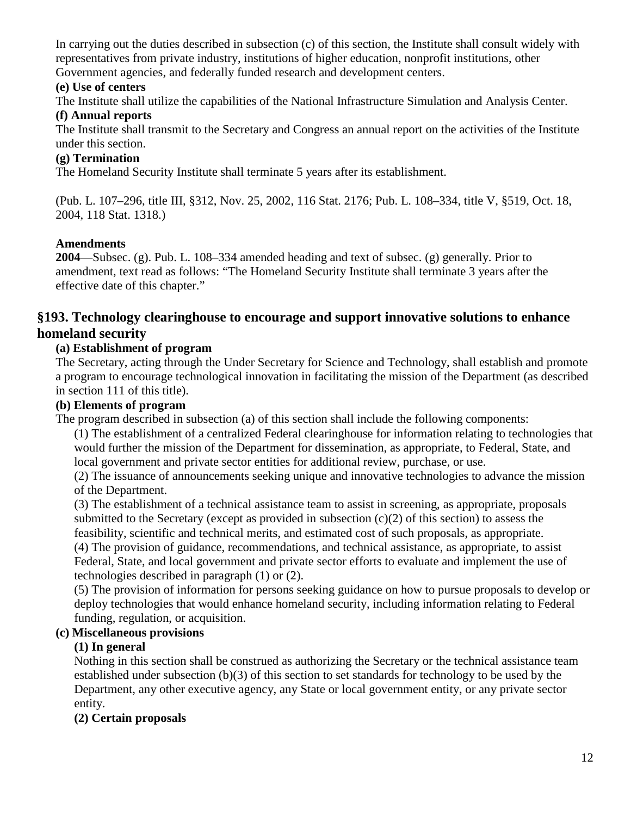In carrying out the duties described in subsection (c) of this section, the Institute shall consult widely with representatives from private industry, institutions of higher education, nonprofit institutions, other Government agencies, and federally funded research and development centers.

### **(e) Use of centers**

The Institute shall utilize the capabilities of the National Infrastructure Simulation and Analysis Center.

# **(f) Annual reports**

The Institute shall transmit to the Secretary and Congress an annual report on the activities of the Institute under this section.

# **(g) Termination**

The Homeland Security Institute shall terminate 5 years after its establishment.

(Pub. L. 107–296, title III, §312, Nov. 25, 2002, 116 Stat. 2176; Pub. L. 108–334, title V, §519, Oct. 18, 2004, 118 Stat. 1318.)

# **Amendments**

**2004**—Subsec. (g). Pub. L. 108–334 amended heading and text of subsec. (g) generally. Prior to amendment, text read as follows: "The Homeland Security Institute shall terminate 3 years after the effective date of this chapter."

# **§193. Technology clearinghouse to encourage and support innovative solutions to enhance homeland security**

# **(a) Establishment of program**

The Secretary, acting through the Under Secretary for Science and Technology, shall establish and promote a program to encourage technological innovation in facilitating the mission of the Department (as described in section 111 of this title).

## **(b) Elements of program**

The program described in subsection (a) of this section shall include the following components:

(1) The establishment of a centralized Federal clearinghouse for information relating to technologies that would further the mission of the Department for dissemination, as appropriate, to Federal, State, and local government and private sector entities for additional review, purchase, or use.

(2) The issuance of announcements seeking unique and innovative technologies to advance the mission of the Department.

(3) The establishment of a technical assistance team to assist in screening, as appropriate, proposals submitted to the Secretary (except as provided in subsection (c)(2) of this section) to assess the feasibility, scientific and technical merits, and estimated cost of such proposals, as appropriate. (4) The provision of guidance, recommendations, and technical assistance, as appropriate, to assist Federal, State, and local government and private sector efforts to evaluate and implement the use of technologies described in paragraph (1) or (2).

(5) The provision of information for persons seeking guidance on how to pursue proposals to develop or deploy technologies that would enhance homeland security, including information relating to Federal funding, regulation, or acquisition.

# **(c) Miscellaneous provisions**

# **(1) In general**

Nothing in this section shall be construed as authorizing the Secretary or the technical assistance team established under subsection (b)(3) of this section to set standards for technology to be used by the Department, any other executive agency, any State or local government entity, or any private sector entity.

# **(2) Certain proposals**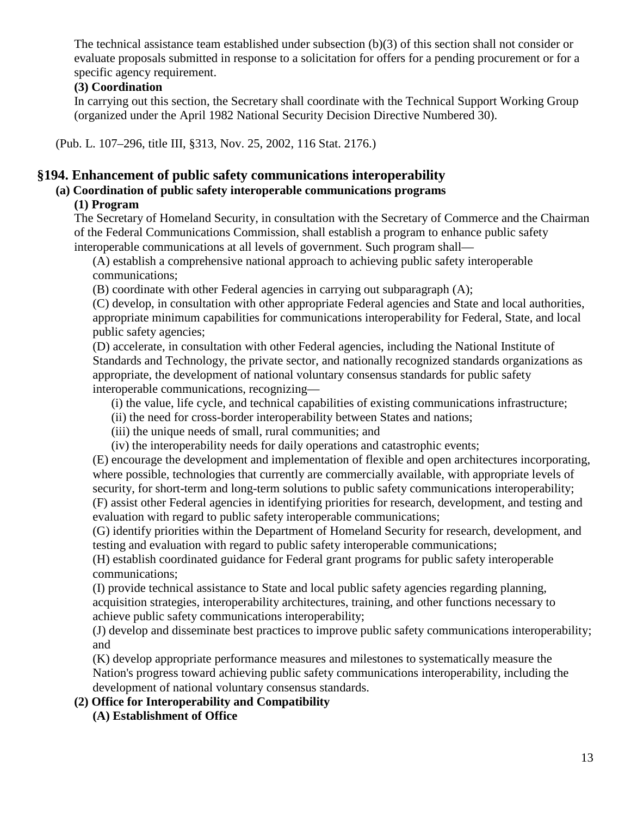The technical assistance team established under subsection (b)(3) of this section shall not consider or evaluate proposals submitted in response to a solicitation for offers for a pending procurement or for a specific agency requirement.

## **(3) Coordination**

In carrying out this section, the Secretary shall coordinate with the Technical Support Working Group (organized under the April 1982 National Security Decision Directive Numbered 30).

(Pub. L. 107–296, title III, §313, Nov. 25, 2002, 116 Stat. 2176.)

# **§194. Enhancement of public safety communications interoperability**

## **(a) Coordination of public safety interoperable communications programs**

# **(1) Program**

The Secretary of Homeland Security, in consultation with the Secretary of Commerce and the Chairman of the Federal Communications Commission, shall establish a program to enhance public safety interoperable communications at all levels of government. Such program shall—

(A) establish a comprehensive national approach to achieving public safety interoperable communications;

(B) coordinate with other Federal agencies in carrying out subparagraph (A);

(C) develop, in consultation with other appropriate Federal agencies and State and local authorities, appropriate minimum capabilities for communications interoperability for Federal, State, and local public safety agencies;

(D) accelerate, in consultation with other Federal agencies, including the National Institute of Standards and Technology, the private sector, and nationally recognized standards organizations as appropriate, the development of national voluntary consensus standards for public safety interoperable communications, recognizing—

- (i) the value, life cycle, and technical capabilities of existing communications infrastructure;
- (ii) the need for cross-border interoperability between States and nations;
- (iii) the unique needs of small, rural communities; and
- (iv) the interoperability needs for daily operations and catastrophic events;

(E) encourage the development and implementation of flexible and open architectures incorporating, where possible, technologies that currently are commercially available, with appropriate levels of security, for short-term and long-term solutions to public safety communications interoperability; (F) assist other Federal agencies in identifying priorities for research, development, and testing and evaluation with regard to public safety interoperable communications;

(G) identify priorities within the Department of Homeland Security for research, development, and testing and evaluation with regard to public safety interoperable communications;

(H) establish coordinated guidance for Federal grant programs for public safety interoperable communications;

(I) provide technical assistance to State and local public safety agencies regarding planning, acquisition strategies, interoperability architectures, training, and other functions necessary to achieve public safety communications interoperability;

(J) develop and disseminate best practices to improve public safety communications interoperability; and

(K) develop appropriate performance measures and milestones to systematically measure the Nation's progress toward achieving public safety communications interoperability, including the development of national voluntary consensus standards.

# **(2) Office for Interoperability and Compatibility**

**(A) Establishment of Office**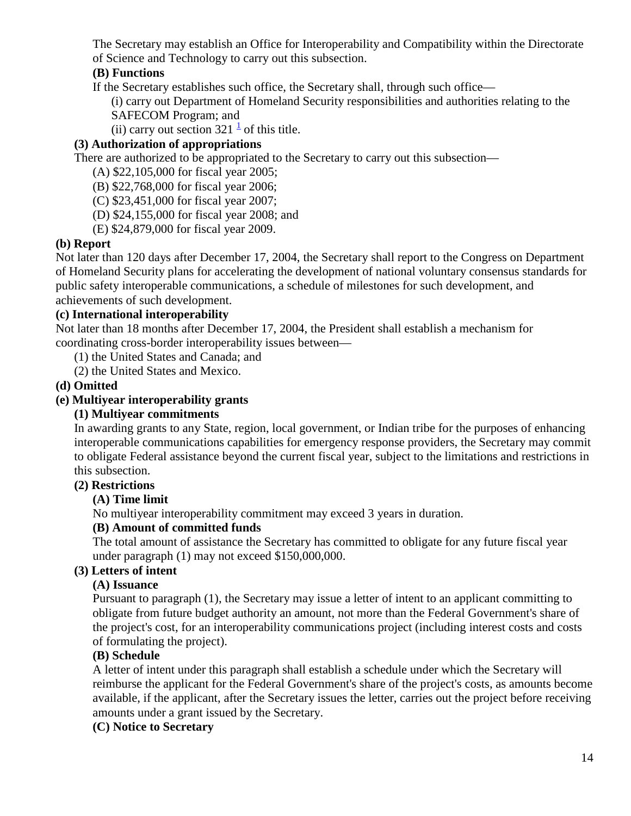The Secretary may establish an Office for Interoperability and Compatibility within the Directorate of Science and Technology to carry out this subsection.

# **(B) Functions**

If the Secretary establishes such office, the Secretary shall, through such office—

(i) carry out Department of Homeland Security responsibilities and authorities relating to the SAFECOM Program; and

(ii)carry out section  $321<sup>1</sup>$  of this title.

# **(3) Authorization of appropriations**

There are authorized to be appropriated to the Secretary to carry out this subsection—

(A) \$22,105,000 for fiscal year 2005;

(B) \$22,768,000 for fiscal year 2006;

(C) \$23,451,000 for fiscal year 2007;

(D) \$24,155,000 for fiscal year 2008; and

(E) \$24,879,000 for fiscal year 2009.

# **(b) Report**

Not later than 120 days after December 17, 2004, the Secretary shall report to the Congress on Department of Homeland Security plans for accelerating the development of national voluntary consensus standards for public safety interoperable communications, a schedule of milestones for such development, and achievements of such development.

## **(c) International interoperability**

Not later than 18 months after December 17, 2004, the President shall establish a mechanism for coordinating cross-border interoperability issues between—

(1) the United States and Canada; and

(2) the United States and Mexico.

## **(d) Omitted**

## **(e) Multiyear interoperability grants**

### **(1) Multiyear commitments**

In awarding grants to any State, region, local government, or Indian tribe for the purposes of enhancing interoperable communications capabilities for emergency response providers, the Secretary may commit to obligate Federal assistance beyond the current fiscal year, subject to the limitations and restrictions in this subsection.

### **(2) Restrictions**

# **(A) Time limit**

No multiyear interoperability commitment may exceed 3 years in duration.

# **(B) Amount of committed funds**

The total amount of assistance the Secretary has committed to obligate for any future fiscal year under paragraph (1) may not exceed \$150,000,000.

### **(3) Letters of intent**

# **(A) Issuance**

Pursuant to paragraph (1), the Secretary may issue a letter of intent to an applicant committing to obligate from future budget authority an amount, not more than the Federal Government's share of the project's cost, for an interoperability communications project (including interest costs and costs of formulating the project).

### **(B) Schedule**

A letter of intent under this paragraph shall establish a schedule under which the Secretary will reimburse the applicant for the Federal Government's share of the project's costs, as amounts become available, if the applicant, after the Secretary issues the letter, carries out the project before receiving amounts under a grant issued by the Secretary.

### **(C) Notice to Secretary**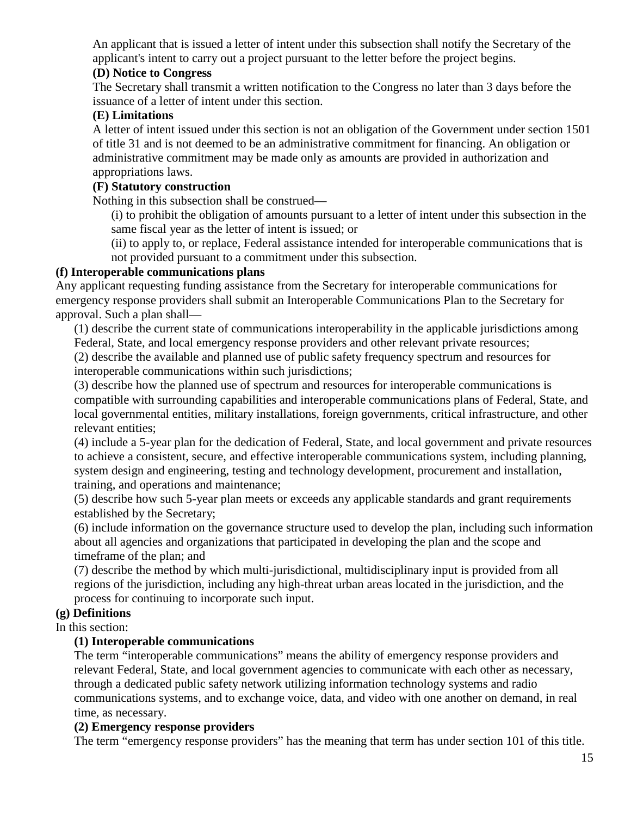An applicant that is issued a letter of intent under this subsection shall notify the Secretary of the applicant's intent to carry out a project pursuant to the letter before the project begins.

## **(D) Notice to Congress**

The Secretary shall transmit a written notification to the Congress no later than 3 days before the issuance of a letter of intent under this section.

## **(E) Limitations**

A letter of intent issued under this section is not an obligation of the Government under section 1501 of title 31 and is not deemed to be an administrative commitment for financing. An obligation or administrative commitment may be made only as amounts are provided in authorization and appropriations laws.

# **(F) Statutory construction**

Nothing in this subsection shall be construed—

(i) to prohibit the obligation of amounts pursuant to a letter of intent under this subsection in the same fiscal year as the letter of intent is issued; or

(ii) to apply to, or replace, Federal assistance intended for interoperable communications that is not provided pursuant to a commitment under this subsection.

## **(f) Interoperable communications plans**

Any applicant requesting funding assistance from the Secretary for interoperable communications for emergency response providers shall submit an Interoperable Communications Plan to the Secretary for approval. Such a plan shall—

(1) describe the current state of communications interoperability in the applicable jurisdictions among Federal, State, and local emergency response providers and other relevant private resources;

(2) describe the available and planned use of public safety frequency spectrum and resources for interoperable communications within such jurisdictions;

(3) describe how the planned use of spectrum and resources for interoperable communications is compatible with surrounding capabilities and interoperable communications plans of Federal, State, and local governmental entities, military installations, foreign governments, critical infrastructure, and other relevant entities;

(4) include a 5-year plan for the dedication of Federal, State, and local government and private resources to achieve a consistent, secure, and effective interoperable communications system, including planning, system design and engineering, testing and technology development, procurement and installation, training, and operations and maintenance;

(5) describe how such 5-year plan meets or exceeds any applicable standards and grant requirements established by the Secretary;

(6) include information on the governance structure used to develop the plan, including such information about all agencies and organizations that participated in developing the plan and the scope and timeframe of the plan; and

(7) describe the method by which multi-jurisdictional, multidisciplinary input is provided from all regions of the jurisdiction, including any high-threat urban areas located in the jurisdiction, and the process for continuing to incorporate such input.

# **(g) Definitions**

# In this section:

# **(1) Interoperable communications**

The term "interoperable communications" means the ability of emergency response providers and relevant Federal, State, and local government agencies to communicate with each other as necessary, through a dedicated public safety network utilizing information technology systems and radio communications systems, and to exchange voice, data, and video with one another on demand, in real time, as necessary.

### **(2) Emergency response providers**

The term "emergency response providers" has the meaning that term has under section 101 of this title.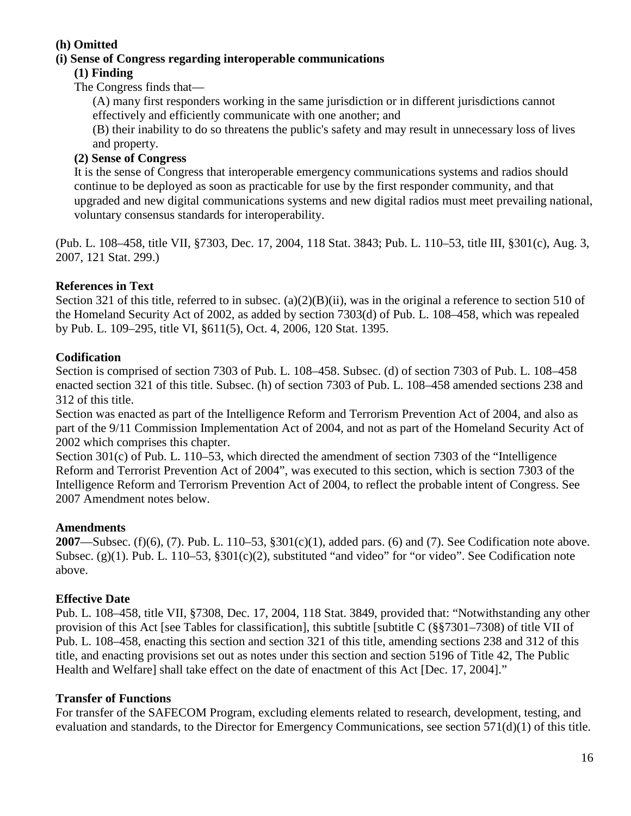## **(h) Omitted**

### **(i) Sense of Congress regarding interoperable communications**

### **(1) Finding**

The Congress finds that—

(A) many first responders working in the same jurisdiction or in different jurisdictions cannot effectively and efficiently communicate with one another; and

(B) their inability to do so threatens the public's safety and may result in unnecessary loss of lives and property.

## **(2) Sense of Congress**

It is the sense of Congress that interoperable emergency communications systems and radios should continue to be deployed as soon as practicable for use by the first responder community, and that upgraded and new digital communications systems and new digital radios must meet prevailing national, voluntary consensus standards for interoperability.

(Pub. L. 108–458, title VII, §7303, Dec. 17, 2004, 118 Stat. 3843; Pub. L. 110–53, title III, §301(c), Aug. 3, 2007, 121 Stat. 299.)

## **References in Text**

Section 321 of this title, referred to in subsec. (a)(2)(B)(ii), was in the original a reference to section 510 of the Homeland Security Act of 2002, as added by section 7303(d) of Pub. L. 108–458, which was repealed by Pub. L. 109–295, title VI, §611(5), Oct. 4, 2006, 120 Stat. 1395.

## **Codification**

Section is comprised of section 7303 of Pub. L. 108–458. Subsec. (d) of section 7303 of Pub. L. 108–458 enacted section 321 of this title. Subsec. (h) of section 7303 of Pub. L. 108–458 amended sections 238 and 312 of this title.

Section was enacted as part of the Intelligence Reform and Terrorism Prevention Act of 2004, and also as part of the 9/11 Commission Implementation Act of 2004, and not as part of the Homeland Security Act of 2002 which comprises this chapter.

Section 301(c) of Pub. L. 110–53, which directed the amendment of section 7303 of the "Intelligence Reform and Terrorist Prevention Act of 2004", was executed to this section, which is section 7303 of the Intelligence Reform and Terrorism Prevention Act of 2004, to reflect the probable intent of Congress. See 2007 Amendment notes below.

### **Amendments**

**2007**—Subsec. (f)(6), (7). Pub. L. 110–53, §301(c)(1), added pars. (6) and (7). See Codification note above. Subsec. (g)(1). Pub. L. 110–53, §301(c)(2), substituted "and video" for "or video". See Codification note above.

# **Effective Date**

Pub. L. 108–458, title VII, §7308, Dec. 17, 2004, 118 Stat. 3849, provided that: "Notwithstanding any other provision of this Act [see Tables for classification], this subtitle [subtitle C (§§7301–7308) of title VII of Pub. L. 108–458, enacting this section and section 321 of this title, amending sections 238 and 312 of this title, and enacting provisions set out as notes under this section and section 5196 of Title 42, The Public Health and Welfare] shall take effect on the date of enactment of this Act [Dec. 17, 2004]."

### **Transfer of Functions**

For transfer of the SAFECOM Program, excluding elements related to research, development, testing, and evaluation and standards, to the Director for Emergency Communications, see section 571(d)(1) of this title.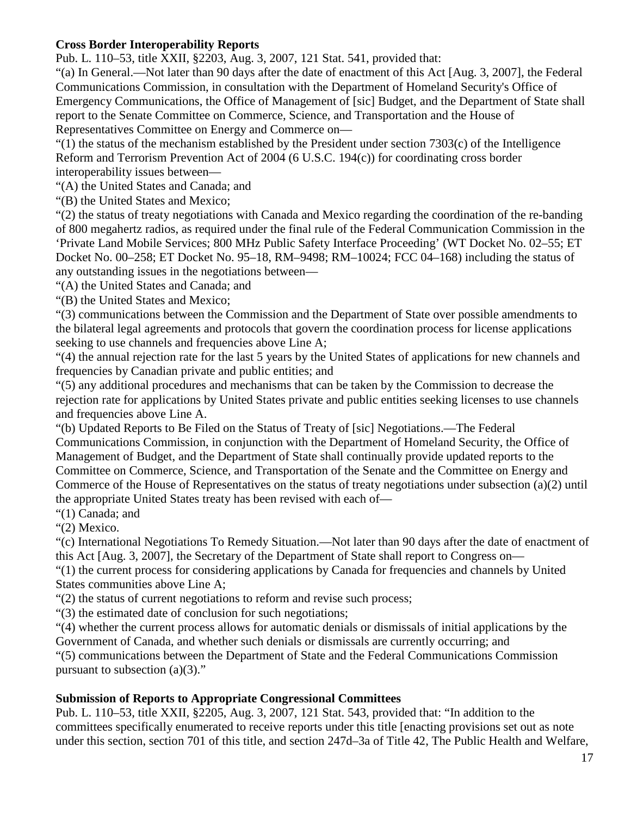## **Cross Border Interoperability Reports**

Pub. L. 110–53, title XXII, §2203, Aug. 3, 2007, 121 Stat. 541, provided that:

"(a) In General.—Not later than 90 days after the date of enactment of this Act [Aug. 3, 2007], the Federal Communications Commission, in consultation with the Department of Homeland Security's Office of Emergency Communications, the Office of Management of [sic] Budget, and the Department of State shall report to the Senate Committee on Commerce, Science, and Transportation and the House of Representatives Committee on Energy and Commerce on—

 $(1)$  the status of the mechanism established by the President under section 7303(c) of the Intelligence Reform and Terrorism Prevention Act of 2004 (6 U.S.C. 194(c)) for coordinating cross border interoperability issues between—

"(A) the United States and Canada; and

"(B) the United States and Mexico;

"(2) the status of treaty negotiations with Canada and Mexico regarding the coordination of the re-banding of 800 megahertz radios, as required under the final rule of the Federal Communication Commission in the 'Private Land Mobile Services; 800 MHz Public Safety Interface Proceeding' (WT Docket No. 02–55; ET Docket No. 00–258; ET Docket No. 95–18, RM–9498; RM–10024; FCC 04–168) including the status of any outstanding issues in the negotiations between—

"(A) the United States and Canada; and

"(B) the United States and Mexico;

"(3) communications between the Commission and the Department of State over possible amendments to the bilateral legal agreements and protocols that govern the coordination process for license applications seeking to use channels and frequencies above Line A;

"(4) the annual rejection rate for the last 5 years by the United States of applications for new channels and frequencies by Canadian private and public entities; and

"(5) any additional procedures and mechanisms that can be taken by the Commission to decrease the rejection rate for applications by United States private and public entities seeking licenses to use channels and frequencies above Line A.

"(b) Updated Reports to Be Filed on the Status of Treaty of [sic] Negotiations.—The Federal Communications Commission, in conjunction with the Department of Homeland Security, the Office of Management of Budget, and the Department of State shall continually provide updated reports to the Committee on Commerce, Science, and Transportation of the Senate and the Committee on Energy and Commerce of the House of Representatives on the status of treaty negotiations under subsection (a)(2) until the appropriate United States treaty has been revised with each of—

"(1) Canada; and

"(2) Mexico.

"(c) International Negotiations To Remedy Situation.—Not later than 90 days after the date of enactment of this Act [Aug. 3, 2007], the Secretary of the Department of State shall report to Congress on—

"(1) the current process for considering applications by Canada for frequencies and channels by United States communities above Line A;

"(2) the status of current negotiations to reform and revise such process;

"(3) the estimated date of conclusion for such negotiations;

"(4) whether the current process allows for automatic denials or dismissals of initial applications by the Government of Canada, and whether such denials or dismissals are currently occurring; and

"(5) communications between the Department of State and the Federal Communications Commission pursuant to subsection  $(a)(3)$ ."

# **Submission of Reports to Appropriate Congressional Committees**

Pub. L. 110–53, title XXII, §2205, Aug. 3, 2007, 121 Stat. 543, provided that: "In addition to the committees specifically enumerated to receive reports under this title [enacting provisions set out as note under this section, section 701 of this title, and section 247d–3a of Title 42, The Public Health and Welfare,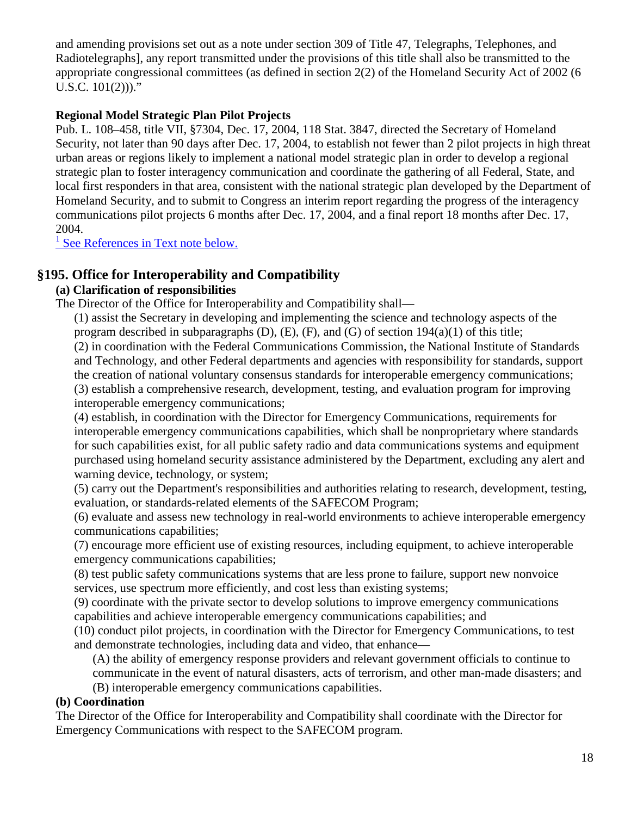and amending provisions set out as a note under section 309 of Title 47, Telegraphs, Telephones, and Radiotelegraphs], any report transmitted under the provisions of this title shall also be transmitted to the appropriate congressional committees (as defined in section 2(2) of the Homeland Security Act of 2002 (6 U.S.C. 101(2)))."

## **Regional Model Strategic Plan Pilot Projects**

Pub. L. 108–458, title VII, §7304, Dec. 17, 2004, 118 Stat. 3847, directed the Secretary of Homeland Security, not later than 90 days after Dec. 17, 2004, to establish not fewer than 2 pilot projects in high threat urban areas or regions likely to implement a national model strategic plan in order to develop a regional strategic plan to foster interagency communication and coordinate the gathering of all Federal, State, and local first responders in that area, consistent with the national strategic plan developed by the Department of Homeland Security, and to submit to Congress an interim report regarding the progress of the interagency communications pilot projects 6 months after Dec. 17, 2004, and a final report 18 months after Dec. 17, 2004.

 $<sup>1</sup>$  [See References in Text note below.](http://143.231.180.80/view.xhtml?path=/title6/chapter1/subchapter3#194_1)</sup>

# **§195. Office for Interoperability and Compatibility**

### **(a) Clarification of responsibilities**

The Director of the Office for Interoperability and Compatibility shall—

(1) assist the Secretary in developing and implementing the science and technology aspects of the program described in subparagraphs  $(D)$ ,  $(E)$ ,  $(F)$ , and  $(G)$  of section  $194(a)(1)$  of this title; (2) in coordination with the Federal Communications Commission, the National Institute of Standards and Technology, and other Federal departments and agencies with responsibility for standards, support the creation of national voluntary consensus standards for interoperable emergency communications; (3) establish a comprehensive research, development, testing, and evaluation program for improving interoperable emergency communications;

(4) establish, in coordination with the Director for Emergency Communications, requirements for interoperable emergency communications capabilities, which shall be nonproprietary where standards for such capabilities exist, for all public safety radio and data communications systems and equipment purchased using homeland security assistance administered by the Department, excluding any alert and warning device, technology, or system;

(5) carry out the Department's responsibilities and authorities relating to research, development, testing, evaluation, or standards-related elements of the SAFECOM Program;

(6) evaluate and assess new technology in real-world environments to achieve interoperable emergency communications capabilities;

(7) encourage more efficient use of existing resources, including equipment, to achieve interoperable emergency communications capabilities;

(8) test public safety communications systems that are less prone to failure, support new nonvoice services, use spectrum more efficiently, and cost less than existing systems;

(9) coordinate with the private sector to develop solutions to improve emergency communications capabilities and achieve interoperable emergency communications capabilities; and

(10) conduct pilot projects, in coordination with the Director for Emergency Communications, to test and demonstrate technologies, including data and video, that enhance—

(A) the ability of emergency response providers and relevant government officials to continue to communicate in the event of natural disasters, acts of terrorism, and other man-made disasters; and

(B) interoperable emergency communications capabilities.

### **(b) Coordination**

The Director of the Office for Interoperability and Compatibility shall coordinate with the Director for Emergency Communications with respect to the SAFECOM program.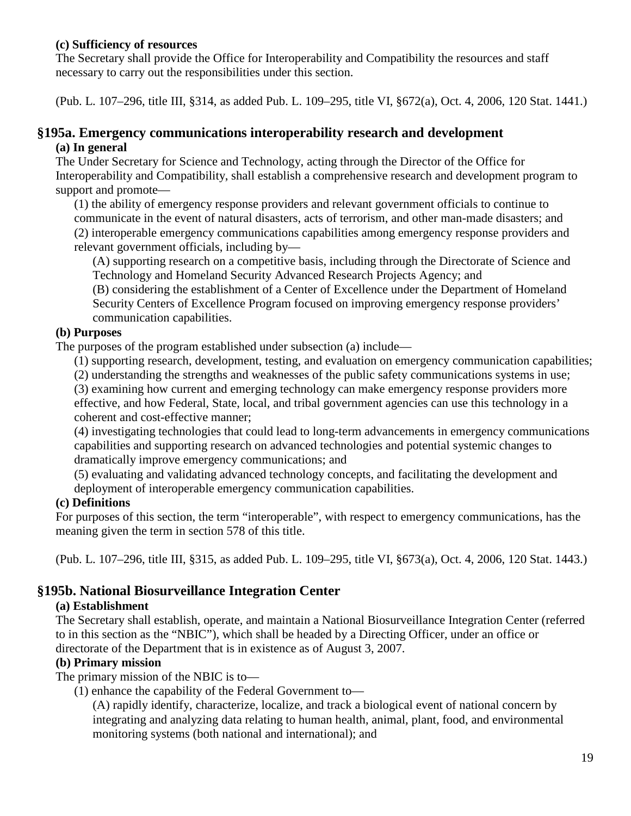### **(c) Sufficiency of resources**

The Secretary shall provide the Office for Interoperability and Compatibility the resources and staff necessary to carry out the responsibilities under this section.

(Pub. L. 107–296, title III, §314, as added Pub. L. 109–295, title VI, §672(a), Oct. 4, 2006, 120 Stat. 1441.)

### **§195a. Emergency communications interoperability research and development (a) In general**

The Under Secretary for Science and Technology, acting through the Director of the Office for Interoperability and Compatibility, shall establish a comprehensive research and development program to support and promote—

(1) the ability of emergency response providers and relevant government officials to continue to communicate in the event of natural disasters, acts of terrorism, and other man-made disasters; and (2) interoperable emergency communications capabilities among emergency response providers and relevant government officials, including by—

(A) supporting research on a competitive basis, including through the Directorate of Science and Technology and Homeland Security Advanced Research Projects Agency; and

(B) considering the establishment of a Center of Excellence under the Department of Homeland Security Centers of Excellence Program focused on improving emergency response providers' communication capabilities.

#### **(b) Purposes**

The purposes of the program established under subsection (a) include—

(1) supporting research, development, testing, and evaluation on emergency communication capabilities;

(2) understanding the strengths and weaknesses of the public safety communications systems in use;

(3) examining how current and emerging technology can make emergency response providers more effective, and how Federal, State, local, and tribal government agencies can use this technology in a coherent and cost-effective manner;

(4) investigating technologies that could lead to long-term advancements in emergency communications capabilities and supporting research on advanced technologies and potential systemic changes to dramatically improve emergency communications; and

(5) evaluating and validating advanced technology concepts, and facilitating the development and deployment of interoperable emergency communication capabilities.

### **(c) Definitions**

For purposes of this section, the term "interoperable", with respect to emergency communications, has the meaning given the term in section 578 of this title.

(Pub. L. 107–296, title III, §315, as added Pub. L. 109–295, title VI, §673(a), Oct. 4, 2006, 120 Stat. 1443.)

# **§195b. National Biosurveillance Integration Center**

### **(a) Establishment**

The Secretary shall establish, operate, and maintain a National Biosurveillance Integration Center (referred to in this section as the "NBIC"), which shall be headed by a Directing Officer, under an office or directorate of the Department that is in existence as of August 3, 2007.

### **(b) Primary mission**

The primary mission of the NBIC is to—

(1) enhance the capability of the Federal Government to—

(A) rapidly identify, characterize, localize, and track a biological event of national concern by integrating and analyzing data relating to human health, animal, plant, food, and environmental monitoring systems (both national and international); and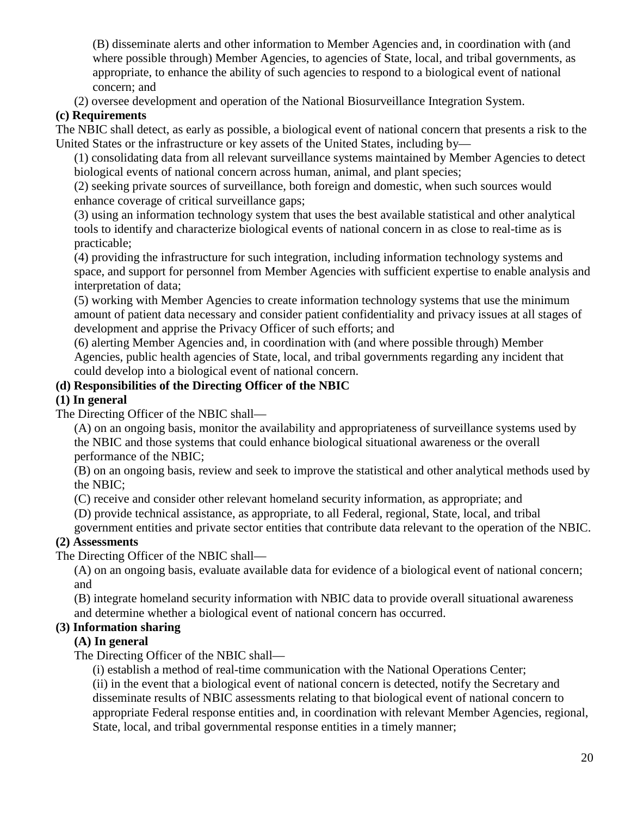(B) disseminate alerts and other information to Member Agencies and, in coordination with (and where possible through) Member Agencies, to agencies of State, local, and tribal governments, as appropriate, to enhance the ability of such agencies to respond to a biological event of national concern; and

(2) oversee development and operation of the National Biosurveillance Integration System.

# **(c) Requirements**

The NBIC shall detect, as early as possible, a biological event of national concern that presents a risk to the United States or the infrastructure or key assets of the United States, including by—

(1) consolidating data from all relevant surveillance systems maintained by Member Agencies to detect biological events of national concern across human, animal, and plant species;

(2) seeking private sources of surveillance, both foreign and domestic, when such sources would enhance coverage of critical surveillance gaps;

(3) using an information technology system that uses the best available statistical and other analytical tools to identify and characterize biological events of national concern in as close to real-time as is practicable;

(4) providing the infrastructure for such integration, including information technology systems and space, and support for personnel from Member Agencies with sufficient expertise to enable analysis and interpretation of data;

(5) working with Member Agencies to create information technology systems that use the minimum amount of patient data necessary and consider patient confidentiality and privacy issues at all stages of development and apprise the Privacy Officer of such efforts; and

(6) alerting Member Agencies and, in coordination with (and where possible through) Member Agencies, public health agencies of State, local, and tribal governments regarding any incident that could develop into a biological event of national concern.

# **(d) Responsibilities of the Directing Officer of the NBIC**

### **(1) In general**

The Directing Officer of the NBIC shall—

(A) on an ongoing basis, monitor the availability and appropriateness of surveillance systems used by the NBIC and those systems that could enhance biological situational awareness or the overall performance of the NBIC;

(B) on an ongoing basis, review and seek to improve the statistical and other analytical methods used by the NBIC;

(C) receive and consider other relevant homeland security information, as appropriate; and

(D) provide technical assistance, as appropriate, to all Federal, regional, State, local, and tribal

government entities and private sector entities that contribute data relevant to the operation of the NBIC.

### **(2) Assessments**

The Directing Officer of the NBIC shall—

(A) on an ongoing basis, evaluate available data for evidence of a biological event of national concern; and

(B) integrate homeland security information with NBIC data to provide overall situational awareness and determine whether a biological event of national concern has occurred.

# **(3) Information sharing**

# **(A) In general**

The Directing Officer of the NBIC shall—

(i) establish a method of real-time communication with the National Operations Center;

(ii) in the event that a biological event of national concern is detected, notify the Secretary and disseminate results of NBIC assessments relating to that biological event of national concern to appropriate Federal response entities and, in coordination with relevant Member Agencies, regional, State, local, and tribal governmental response entities in a timely manner;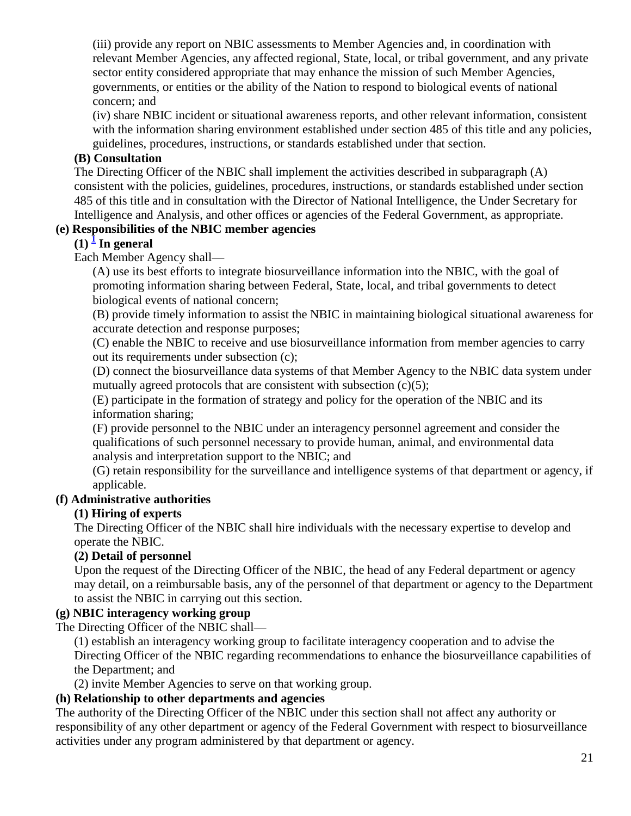(iii) provide any report on NBIC assessments to Member Agencies and, in coordination with relevant Member Agencies, any affected regional, State, local, or tribal government, and any private sector entity considered appropriate that may enhance the mission of such Member Agencies, governments, or entities or the ability of the Nation to respond to biological events of national concern; and

(iv) share NBIC incident or situational awareness reports, and other relevant information, consistent with the information sharing environment established under section 485 of this title and any policies, guidelines, procedures, instructions, or standards established under that section.

# **(B) Consultation**

The Directing Officer of the NBIC shall implement the activities described in subparagraph (A) consistent with the policies, guidelines, procedures, instructions, or standards established under section 485 of this title and in consultation with the Director of National Intelligence, the Under Secretary for Intelligence and Analysis, and other offices or agencies of the Federal Government, as appropriate.

# **(e) Responsibilities of the NBIC member agencies**

# $(1)$  $(1)$  $(1)$ <sup> $\frac{1}{2}$ </sup> In general

Each Member Agency shall—

(A) use its best efforts to integrate biosurveillance information into the NBIC, with the goal of promoting information sharing between Federal, State, local, and tribal governments to detect biological events of national concern;

(B) provide timely information to assist the NBIC in maintaining biological situational awareness for accurate detection and response purposes;

(C) enable the NBIC to receive and use biosurveillance information from member agencies to carry out its requirements under subsection (c);

(D) connect the biosurveillance data systems of that Member Agency to the NBIC data system under mutually agreed protocols that are consistent with subsection  $(c)(5)$ ;

(E) participate in the formation of strategy and policy for the operation of the NBIC and its information sharing;

(F) provide personnel to the NBIC under an interagency personnel agreement and consider the qualifications of such personnel necessary to provide human, animal, and environmental data analysis and interpretation support to the NBIC; and

(G) retain responsibility for the surveillance and intelligence systems of that department or agency, if applicable.

# **(f) Administrative authorities**

# **(1) Hiring of experts**

The Directing Officer of the NBIC shall hire individuals with the necessary expertise to develop and operate the NBIC.

# **(2) Detail of personnel**

Upon the request of the Directing Officer of the NBIC, the head of any Federal department or agency may detail, on a reimbursable basis, any of the personnel of that department or agency to the Department to assist the NBIC in carrying out this section.

# **(g) NBIC interagency working group**

The Directing Officer of the NBIC shall—

(1) establish an interagency working group to facilitate interagency cooperation and to advise the Directing Officer of the NBIC regarding recommendations to enhance the biosurveillance capabilities of the Department; and

(2) invite Member Agencies to serve on that working group.

# **(h) Relationship to other departments and agencies**

The authority of the Directing Officer of the NBIC under this section shall not affect any authority or responsibility of any other department or agency of the Federal Government with respect to biosurveillance activities under any program administered by that department or agency.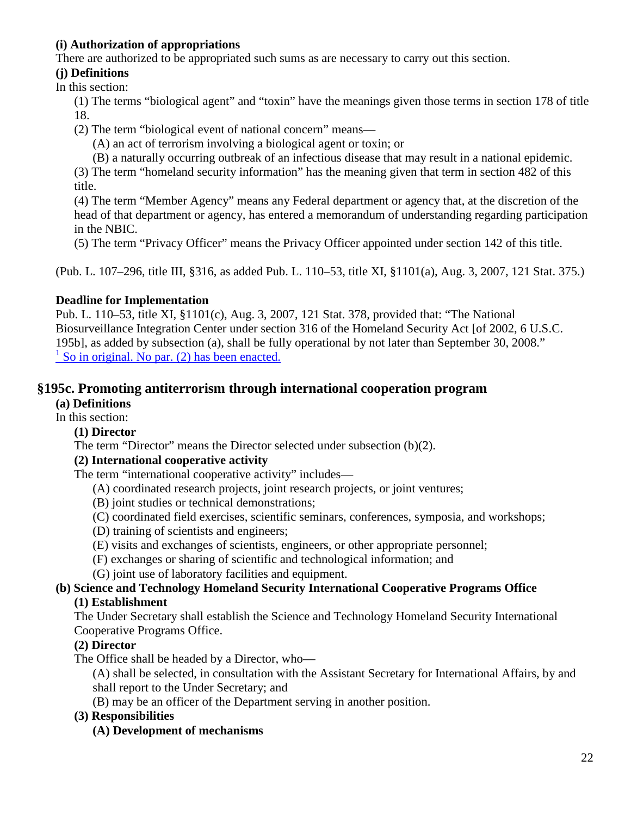# **(i) Authorization of appropriations**

There are authorized to be appropriated such sums as are necessary to carry out this section.

# **(j) Definitions**

In this section:

- (1) The terms "biological agent" and "toxin" have the meanings given those terms in section 178 of title 18.
- (2) The term "biological event of national concern" means—
	- (A) an act of terrorism involving a biological agent or toxin; or
	- (B) a naturally occurring outbreak of an infectious disease that may result in a national epidemic.

(3) The term "homeland security information" has the meaning given that term in section 482 of this title.

(4) The term "Member Agency" means any Federal department or agency that, at the discretion of the head of that department or agency, has entered a memorandum of understanding regarding participation in the NBIC.

(5) The term "Privacy Officer" means the Privacy Officer appointed under section 142 of this title.

(Pub. L. 107–296, title III, §316, as added Pub. L. 110–53, title XI, §1101(a), Aug. 3, 2007, 121 Stat. 375.)

# **Deadline for Implementation**

Pub. L. 110–53, title XI, §1101(c), Aug. 3, 2007, 121 Stat. 378, provided that: "The National Biosurveillance Integration Center under section 316 of the Homeland Security Act [of 2002, 6 U.S.C. 195b], as added by subsection (a), shall be fully operational by not later than September 30, 2008."  $\frac{1}{1}$  [So in original. No par. \(2\) has been enacted.](http://143.231.180.80/view.xhtml?path=/title6/chapter1/subchapter3#195b_1)

# **§195c. Promoting antiterrorism through international cooperation program**

### **(a) Definitions**

In this section:

### **(1) Director**

The term "Director" means the Director selected under subsection (b)(2).

### **(2) International cooperative activity**

The term "international cooperative activity" includes—

- (A) coordinated research projects, joint research projects, or joint ventures;
- (B) joint studies or technical demonstrations;
- (C) coordinated field exercises, scientific seminars, conferences, symposia, and workshops;
- (D) training of scientists and engineers;
- (E) visits and exchanges of scientists, engineers, or other appropriate personnel;
- (F) exchanges or sharing of scientific and technological information; and
- (G) joint use of laboratory facilities and equipment.

# **(b) Science and Technology Homeland Security International Cooperative Programs Office**

### **(1) Establishment**

The Under Secretary shall establish the Science and Technology Homeland Security International Cooperative Programs Office.

# **(2) Director**

The Office shall be headed by a Director, who—

(A) shall be selected, in consultation with the Assistant Secretary for International Affairs, by and shall report to the Under Secretary; and

(B) may be an officer of the Department serving in another position.

### **(3) Responsibilities**

### **(A) Development of mechanisms**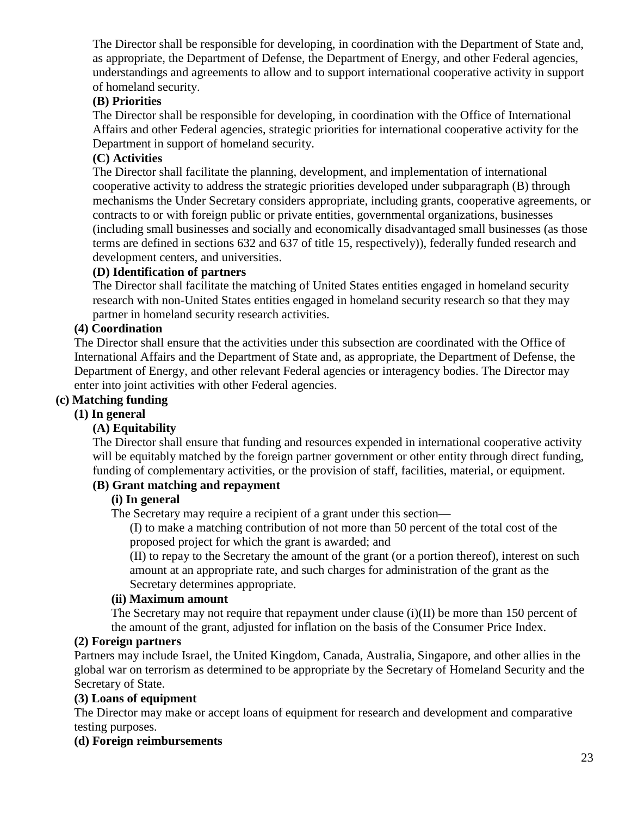The Director shall be responsible for developing, in coordination with the Department of State and, as appropriate, the Department of Defense, the Department of Energy, and other Federal agencies, understandings and agreements to allow and to support international cooperative activity in support of homeland security.

## **(B) Priorities**

The Director shall be responsible for developing, in coordination with the Office of International Affairs and other Federal agencies, strategic priorities for international cooperative activity for the Department in support of homeland security.

## **(C) Activities**

The Director shall facilitate the planning, development, and implementation of international cooperative activity to address the strategic priorities developed under subparagraph (B) through mechanisms the Under Secretary considers appropriate, including grants, cooperative agreements, or contracts to or with foreign public or private entities, governmental organizations, businesses (including small businesses and socially and economically disadvantaged small businesses (as those terms are defined in sections 632 and 637 of title 15, respectively)), federally funded research and development centers, and universities.

### **(D) Identification of partners**

The Director shall facilitate the matching of United States entities engaged in homeland security research with non-United States entities engaged in homeland security research so that they may partner in homeland security research activities.

## **(4) Coordination**

The Director shall ensure that the activities under this subsection are coordinated with the Office of International Affairs and the Department of State and, as appropriate, the Department of Defense, the Department of Energy, and other relevant Federal agencies or interagency bodies. The Director may enter into joint activities with other Federal agencies.

### **(c) Matching funding**

### **(1) In general**

### **(A) Equitability**

The Director shall ensure that funding and resources expended in international cooperative activity will be equitably matched by the foreign partner government or other entity through direct funding, funding of complementary activities, or the provision of staff, facilities, material, or equipment.

### **(B) Grant matching and repayment**

## **(i) In general**

The Secretary may require a recipient of a grant under this section—

(I) to make a matching contribution of not more than 50 percent of the total cost of the proposed project for which the grant is awarded; and

(II) to repay to the Secretary the amount of the grant (or a portion thereof), interest on such amount at an appropriate rate, and such charges for administration of the grant as the Secretary determines appropriate.

### **(ii) Maximum amount**

The Secretary may not require that repayment under clause  $(i)(II)$  be more than 150 percent of the amount of the grant, adjusted for inflation on the basis of the Consumer Price Index.

### **(2) Foreign partners**

Partners may include Israel, the United Kingdom, Canada, Australia, Singapore, and other allies in the global war on terrorism as determined to be appropriate by the Secretary of Homeland Security and the Secretary of State.

### **(3) Loans of equipment**

The Director may make or accept loans of equipment for research and development and comparative testing purposes.

### **(d) Foreign reimbursements**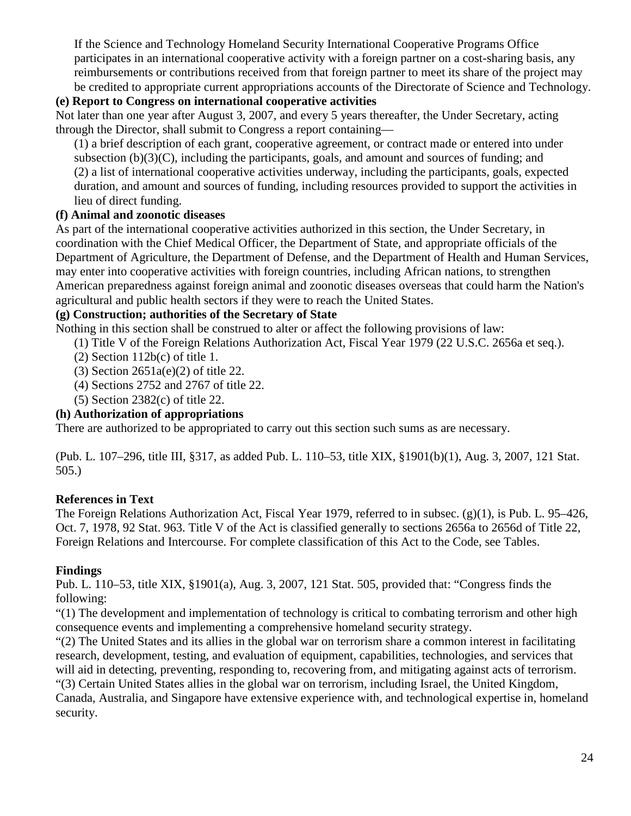If the Science and Technology Homeland Security International Cooperative Programs Office participates in an international cooperative activity with a foreign partner on a cost-sharing basis, any reimbursements or contributions received from that foreign partner to meet its share of the project may be credited to appropriate current appropriations accounts of the Directorate of Science and Technology.

## **(e) Report to Congress on international cooperative activities**

Not later than one year after August 3, 2007, and every 5 years thereafter, the Under Secretary, acting through the Director, shall submit to Congress a report containing—

(1) a brief description of each grant, cooperative agreement, or contract made or entered into under subsection (b)(3)(C), including the participants, goals, and amount and sources of funding; and (2) a list of international cooperative activities underway, including the participants, goals, expected duration, and amount and sources of funding, including resources provided to support the activities in lieu of direct funding.

## **(f) Animal and zoonotic diseases**

As part of the international cooperative activities authorized in this section, the Under Secretary, in coordination with the Chief Medical Officer, the Department of State, and appropriate officials of the Department of Agriculture, the Department of Defense, and the Department of Health and Human Services, may enter into cooperative activities with foreign countries, including African nations, to strengthen American preparedness against foreign animal and zoonotic diseases overseas that could harm the Nation's agricultural and public health sectors if they were to reach the United States.

## **(g) Construction; authorities of the Secretary of State**

Nothing in this section shall be construed to alter or affect the following provisions of law:

- (1) Title V of the Foreign Relations Authorization Act, Fiscal Year 1979 (22 U.S.C. 2656a et seq.).
- $(2)$  Section 112b $(c)$  of title 1.
- (3) Section 2651a(e)(2) of title 22.
- (4) Sections 2752 and 2767 of title 22.
- (5) Section 2382(c) of title 22.

# **(h) Authorization of appropriations**

There are authorized to be appropriated to carry out this section such sums as are necessary.

(Pub. L. 107–296, title III, §317, as added Pub. L. 110–53, title XIX, §1901(b)(1), Aug. 3, 2007, 121 Stat. 505.)

# **References in Text**

The Foreign Relations Authorization Act, Fiscal Year 1979, referred to in subsec. (g)(1), is Pub. L. 95–426, Oct. 7, 1978, 92 Stat. 963. Title V of the Act is classified generally to sections 2656a to 2656d of Title 22, Foreign Relations and Intercourse. For complete classification of this Act to the Code, see Tables.

# **Findings**

Pub. L. 110–53, title XIX, §1901(a), Aug. 3, 2007, 121 Stat. 505, provided that: "Congress finds the following:

"(1) The development and implementation of technology is critical to combating terrorism and other high consequence events and implementing a comprehensive homeland security strategy.

"(2) The United States and its allies in the global war on terrorism share a common interest in facilitating research, development, testing, and evaluation of equipment, capabilities, technologies, and services that will aid in detecting, preventing, responding to, recovering from, and mitigating against acts of terrorism.

"(3) Certain United States allies in the global war on terrorism, including Israel, the United Kingdom, Canada, Australia, and Singapore have extensive experience with, and technological expertise in, homeland security.